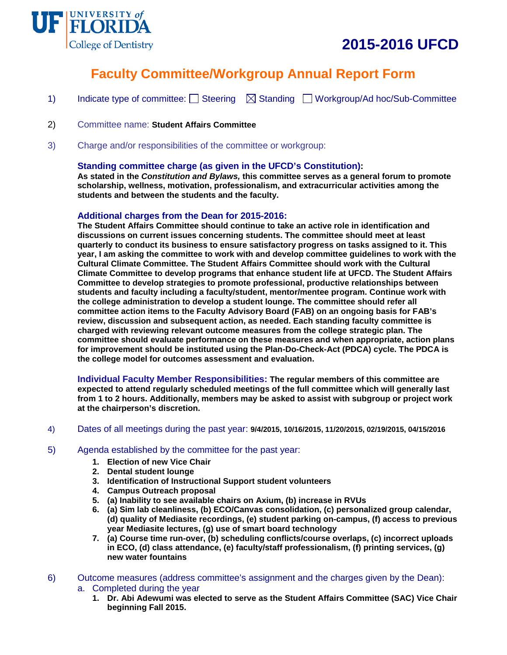



# **Faculty Committee/Workgroup Annual Report Form**

- 1) Indicate type of committee:  $\Box$  Steering  $\Box$  Standing  $\Box$  Workgroup/Ad hoc/Sub-Committee
- 2) Committee name: **Student Affairs Committee**
- 3) Charge and/or responsibilities of the committee or workgroup:

## **Standing committee charge (as given in the UFCD's Constitution):**

**As stated in the** *Constitution and Bylaws,* **this committee serves as a general forum to promote scholarship, wellness, motivation, professionalism, and extracurricular activities among the students and between the students and the faculty.**

#### **Additional charges from the Dean for 2015-2016:**

**The Student Affairs Committee should continue to take an active role in identification and discussions on current issues concerning students. The committee should meet at least quarterly to conduct its business to ensure satisfactory progress on tasks assigned to it. This year, I am asking the committee to work with and develop committee guidelines to work with the Cultural Climate Committee. The Student Affairs Committee should work with the Cultural Climate Committee to develop programs that enhance student life at UFCD. The Student Affairs Committee to develop strategies to promote professional, productive relationships between students and faculty including a faculty/student, mentor/mentee program. Continue work with the college administration to develop a student lounge. The committee should refer all committee action items to the Faculty Advisory Board (FAB) on an ongoing basis for FAB's review, discussion and subsequent action, as needed. Each standing faculty committee is charged with reviewing relevant outcome measures from the college strategic plan. The committee should evaluate performance on these measures and when appropriate, action plans for improvement should be instituted using the Plan-Do-Check-Act (PDCA) cycle. The PDCA is the college model for outcomes assessment and evaluation.**

**Individual Faculty Member Responsibilities: The regular members of this committee are expected to attend regularly scheduled meetings of the full committee which will generally last from 1 to 2 hours. Additionally, members may be asked to assist with subgroup or project work at the chairperson's discretion.**

4) Dates of all meetings during the past year: **9/4/2015, 10/16/2015, 11/20/2015, 02/19/2015, 04/15/2016**

#### 5) Agenda established by the committee for the past year:

- **1. Election of new Vice Chair**
- **2. Dental student lounge**
- **3. Identification of Instructional Support student volunteers**
- **4. Campus Outreach proposal**
- **5. (a) Inability to see available chairs on Axium, (b) increase in RVUs**
- **6. (a) Sim lab cleanliness, (b) ECO/Canvas consolidation, (c) personalized group calendar, (d) quality of Mediasite recordings, (e) student parking on-campus, (f) access to previous year Mediasite lectures, (g) use of smart board technology**
- **7. (a) Course time run-over, (b) scheduling conflicts/course overlaps, (c) incorrect uploads in ECO, (d) class attendance, (e) faculty/staff professionalism, (f) printing services, (g) new water fountains**
- 6) Outcome measures (address committee's assignment and the charges given by the Dean): a. Completed during the year
	- **1. Dr. Abi Adewumi was elected to serve as the Student Affairs Committee (SAC) Vice Chair beginning Fall 2015.**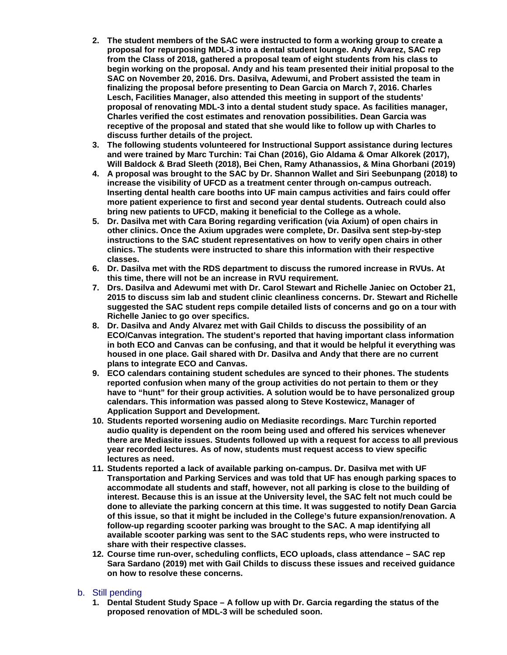- **2. The student members of the SAC were instructed to form a working group to create a proposal for repurposing MDL-3 into a dental student lounge. Andy Alvarez, SAC rep from the Class of 2018, gathered a proposal team of eight students from his class to begin working on the proposal. Andy and his team presented their initial proposal to the SAC on November 20, 2016. Drs. Dasilva, Adewumi, and Probert assisted the team in finalizing the proposal before presenting to Dean Garcia on March 7, 2016. Charles Lesch, Facilities Manager, also attended this meeting in support of the students' proposal of renovating MDL-3 into a dental student study space. As facilities manager, Charles verified the cost estimates and renovation possibilities. Dean Garcia was receptive of the proposal and stated that she would like to follow up with Charles to discuss further details of the project.**
- **3. The following students volunteered for Instructional Support assistance during lectures and were trained by Marc Turchin: Tai Chan (2016), Gio Aldama & Omar Alkorek (2017), Will Baldock & Brad Sleeth (2018), Bei Chen, Ramy Athanassios, & Mina Ghorbani (2019)**
- **4. A proposal was brought to the SAC by Dr. Shannon Wallet and Siri Seebunpang (2018) to increase the visibility of UFCD as a treatment center through on-campus outreach. Inserting dental health care booths into UF main campus activities and fairs could offer more patient experience to first and second year dental students. Outreach could also bring new patients to UFCD, making it beneficial to the College as a whole.**
- **5. Dr. Dasilva met with Cara Boring regarding verification (via Axium) of open chairs in other clinics. Once the Axium upgrades were complete, Dr. Dasilva sent step-by-step instructions to the SAC student representatives on how to verify open chairs in other clinics. The students were instructed to share this information with their respective classes.**
- **6. Dr. Dasilva met with the RDS department to discuss the rumored increase in RVUs. At this time, there will not be an increase in RVU requirement.**
- **7. Drs. Dasilva and Adewumi met with Dr. Carol Stewart and Richelle Janiec on October 21, 2015 to discuss sim lab and student clinic cleanliness concerns. Dr. Stewart and Richelle suggested the SAC student reps compile detailed lists of concerns and go on a tour with Richelle Janiec to go over specifics.**
- **8. Dr. Dasilva and Andy Alvarez met with Gail Childs to discuss the possibility of an ECO/Canvas integration. The student's reported that having important class information in both ECO and Canvas can be confusing, and that it would be helpful it everything was housed in one place. Gail shared with Dr. Dasilva and Andy that there are no current plans to integrate ECO and Canvas.**
- **9. ECO calendars containing student schedules are synced to their phones. The students reported confusion when many of the group activities do not pertain to them or they have to "hunt" for their group activities. A solution would be to have personalized group calendars. This information was passed along to Steve Kostewicz, Manager of Application Support and Development.**
- **10. Students reported worsening audio on Mediasite recordings. Marc Turchin reported audio quality is dependent on the room being used and offered his services whenever there are Mediasite issues. Students followed up with a request for access to all previous year recorded lectures. As of now, students must request access to view specific lectures as need.**
- **11. Students reported a lack of available parking on-campus. Dr. Dasilva met with UF Transportation and Parking Services and was told that UF has enough parking spaces to accommodate all students and staff, however, not all parking is close to the building of interest. Because this is an issue at the University level, the SAC felt not much could be done to alleviate the parking concern at this time. It was suggested to notify Dean Garcia of this issue, so that it might be included in the College's future expansion/renovation. A follow-up regarding scooter parking was brought to the SAC. A map identifying all available scooter parking was sent to the SAC students reps, who were instructed to share with their respective classes.**
- **12. Course time run-over, scheduling conflicts, ECO uploads, class attendance – SAC rep Sara Sardano (2019) met with Gail Childs to discuss these issues and received guidance on how to resolve these concerns.**

## b. Still pending

**1. Dental Student Study Space – A follow up with Dr. Garcia regarding the status of the proposed renovation of MDL-3 will be scheduled soon.**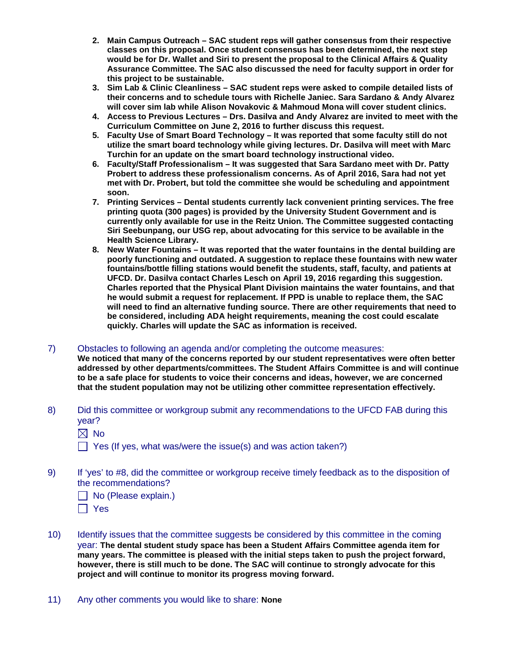- **2. Main Campus Outreach – SAC student reps will gather consensus from their respective classes on this proposal. Once student consensus has been determined, the next step would be for Dr. Wallet and Siri to present the proposal to the Clinical Affairs & Quality Assurance Committee. The SAC also discussed the need for faculty support in order for this project to be sustainable.**
- **3. Sim Lab & Clinic Cleanliness – SAC student reps were asked to compile detailed lists of their concerns and to schedule tours with Richelle Janiec. Sara Sardano & Andy Alvarez will cover sim lab while Alison Novakovic & Mahmoud Mona will cover student clinics.**
- **4. Access to Previous Lectures – Drs. Dasilva and Andy Alvarez are invited to meet with the Curriculum Committee on June 2, 2016 to further discuss this request.**
- **5. Faculty Use of Smart Board Technology – It was reported that some faculty still do not utilize the smart board technology while giving lectures. Dr. Dasilva will meet with Marc Turchin for an update on the smart board technology instructional video.**
- **6. Faculty/Staff Professionalism – It was suggested that Sara Sardano meet with Dr. Patty Probert to address these professionalism concerns. As of April 2016, Sara had not yet met with Dr. Probert, but told the committee she would be scheduling and appointment soon.**
- **7. Printing Services – Dental students currently lack convenient printing services. The free printing quota (300 pages) is provided by the University Student Government and is currently only available for use in the Reitz Union. The Committee suggested contacting Siri Seebunpang, our USG rep, about advocating for this service to be available in the Health Science Library.**
- **8. New Water Fountains – It was reported that the water fountains in the dental building are poorly functioning and outdated. A suggestion to replace these fountains with new water fountains/bottle filling stations would benefit the students, staff, faculty, and patients at UFCD. Dr. Dasilva contact Charles Lesch on April 19, 2016 regarding this suggestion. Charles reported that the Physical Plant Division maintains the water fountains, and that he would submit a request for replacement. If PPD is unable to replace them, the SAC will need to find an alternative funding source. There are other requirements that need to be considered, including ADA height requirements, meaning the cost could escalate quickly. Charles will update the SAC as information is received.**
- 7) Obstacles to following an agenda and/or completing the outcome measures:

**We noticed that many of the concerns reported by our student representatives were often better addressed by other departments/committees. The Student Affairs Committee is and will continue to be a safe place for students to voice their concerns and ideas, however, we are concerned that the student population may not be utilizing other committee representation effectively.**

8) Did this committee or workgroup submit any recommendations to the UFCD FAB during this year?  $\boxtimes$  No

 $\Box$  Yes (If yes, what was/were the issue(s) and was action taken?)

- 9) If 'yes' to #8, did the committee or workgroup receive timely feedback as to the disposition of the recommendations?
	- No (Please explain.)
	- Yes
- 10) Identify issues that the committee suggests be considered by this committee in the coming year: **The dental student study space has been a Student Affairs Committee agenda item for many years. The committee is pleased with the initial steps taken to push the project forward, however, there is still much to be done. The SAC will continue to strongly advocate for this project and will continue to monitor its progress moving forward.**
- 11) Any other comments you would like to share: **None**